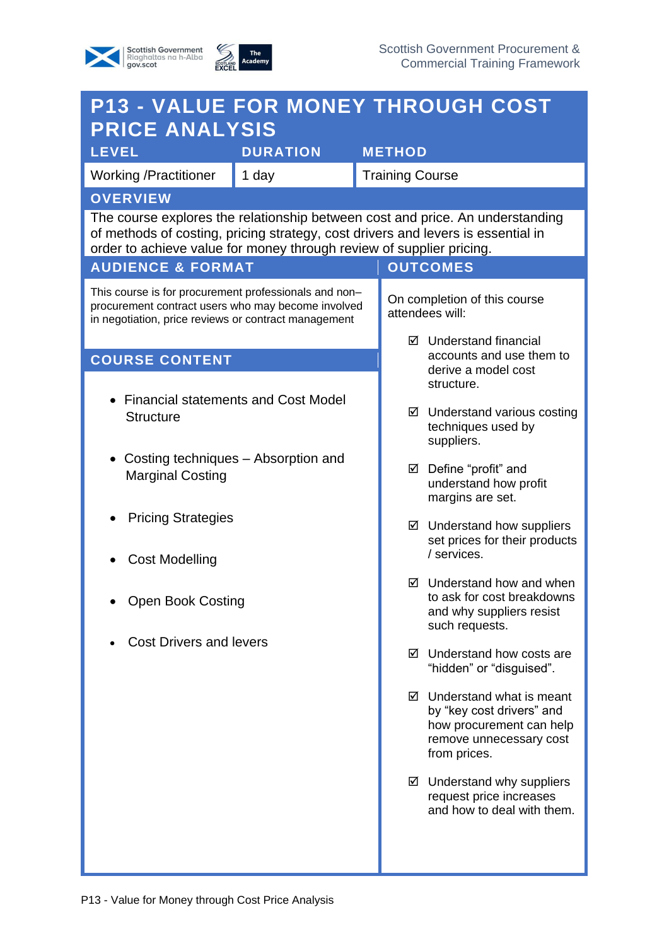## Scottish Government<br>Riaghaltas na h-Alba<br>gov.scot



| <b>P13 - VALUE FOR MONEY THROUGH COST</b>                                                                                                                                                                                                 |                 |                                                                                         |                                                                                                     |                                                                                                                                          |
|-------------------------------------------------------------------------------------------------------------------------------------------------------------------------------------------------------------------------------------------|-----------------|-----------------------------------------------------------------------------------------|-----------------------------------------------------------------------------------------------------|------------------------------------------------------------------------------------------------------------------------------------------|
| <b>PRICE ANALYSIS</b><br><b>LEVEL</b>                                                                                                                                                                                                     | <b>DURATION</b> |                                                                                         | <b>METHOD</b>                                                                                       |                                                                                                                                          |
| <b>Working /Practitioner</b>                                                                                                                                                                                                              | 1 day           |                                                                                         | <b>Training Course</b>                                                                              |                                                                                                                                          |
| <b>OVERVIEW</b>                                                                                                                                                                                                                           |                 |                                                                                         |                                                                                                     |                                                                                                                                          |
| The course explores the relationship between cost and price. An understanding<br>of methods of costing, pricing strategy, cost drivers and levers is essential in<br>order to achieve value for money through review of supplier pricing. |                 |                                                                                         |                                                                                                     |                                                                                                                                          |
| <b>AUDIENCE &amp; FORMAT</b><br><b>OUTCOMES</b>                                                                                                                                                                                           |                 |                                                                                         |                                                                                                     |                                                                                                                                          |
| This course is for procurement professionals and non-<br>procurement contract users who may become involved<br>in negotiation, price reviews or contract management                                                                       |                 | On completion of this course<br>attendees will:                                         |                                                                                                     |                                                                                                                                          |
|                                                                                                                                                                                                                                           |                 | ☑ Understand financial<br>accounts and use them to<br>derive a model cost<br>structure. |                                                                                                     |                                                                                                                                          |
| <b>COURSE CONTENT</b>                                                                                                                                                                                                                     |                 |                                                                                         |                                                                                                     |                                                                                                                                          |
| <b>Financial statements and Cost Model</b><br><b>Structure</b>                                                                                                                                                                            |                 |                                                                                         |                                                                                                     | $\boxtimes$ Understand various costing<br>techniques used by<br>suppliers.                                                               |
| Costing techniques – Absorption and<br><b>Marginal Costing</b>                                                                                                                                                                            |                 |                                                                                         |                                                                                                     | ☑ Define "profit" and<br>understand how profit<br>margins are set.                                                                       |
| <b>Pricing Strategies</b>                                                                                                                                                                                                                 |                 |                                                                                         | $\boxtimes$ Understand how suppliers<br>set prices for their products<br>/ services.                |                                                                                                                                          |
| <b>Cost Modelling</b><br><b>Open Book Costing</b>                                                                                                                                                                                         |                 | ☑                                                                                       | Understand how and when<br>to ask for cost breakdowns<br>and why suppliers resist<br>such requests. |                                                                                                                                          |
| <b>Cost Drivers and levers</b>                                                                                                                                                                                                            |                 |                                                                                         |                                                                                                     | $\boxtimes$ Understand how costs are<br>"hidden" or "disguised".                                                                         |
|                                                                                                                                                                                                                                           |                 |                                                                                         |                                                                                                     | $\boxtimes$ Understand what is meant<br>by "key cost drivers" and<br>how procurement can help<br>remove unnecessary cost<br>from prices. |
|                                                                                                                                                                                                                                           |                 |                                                                                         |                                                                                                     | ☑ Understand why suppliers<br>request price increases<br>and how to deal with them.                                                      |